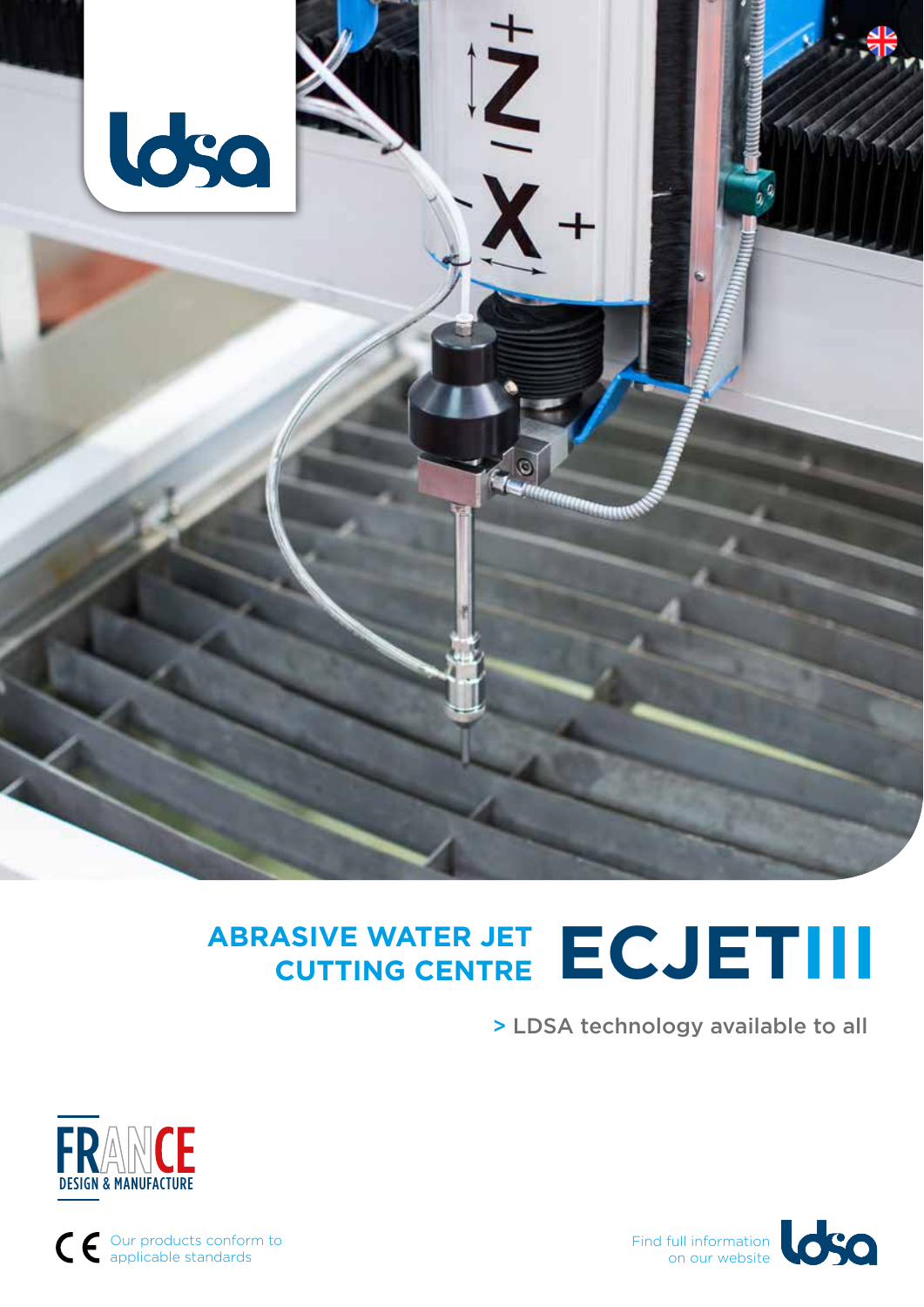

# **ABRASIVE WATER JET CUTTING CENTRE ECJETIII**

> LDSA technology available to all





Our products conform to applicable standards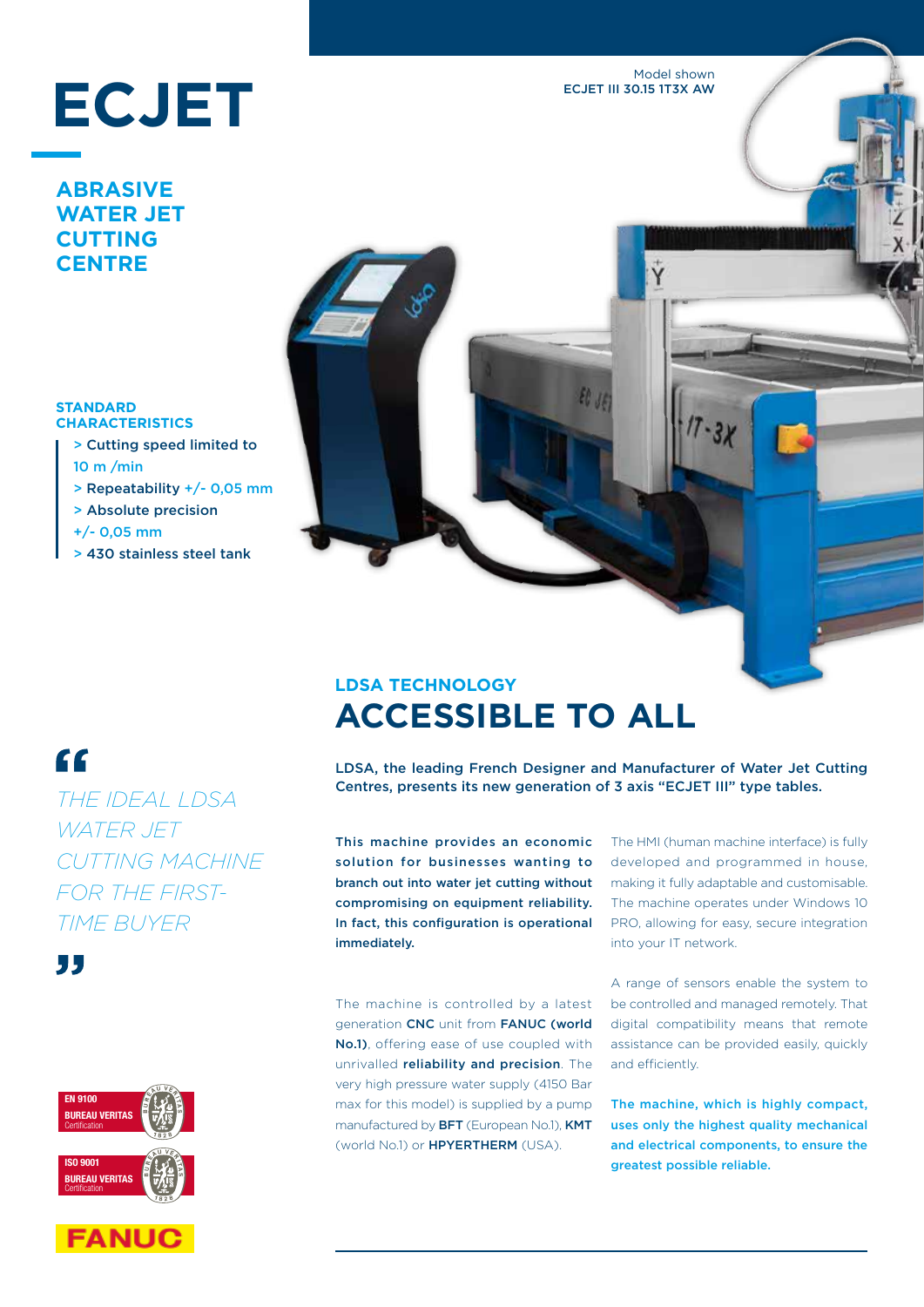Model shown ECJET III 30.15 1T3X AW

# **ECJET**

#### **ABRASIVE WATER JET CUTTING CENTRE**

#### **STANDARD CHARACTERISTICS**

- > Cutting speed limited to 10 m /min
- > Repeatability +/- 0,05 mm
- > Absolute precision
- +/- 0,05 mm
- > 430 stainless steel tank

# **LDSA TECHNOLOGY ACCESSIBLE TO ALL**

LDSA, the leading French Designer and Manufacturer of Water Jet Cutting Centres, presents its new generation of 3 axis "ECJET III" type tables.

 $\epsilon_{l}$ 

This machine provides an economic solution for businesses wanting to branch out into water jet cutting without compromising on equipment reliability. In fact, this configuration is operational immediately.

The machine is controlled by a latest generation CNC unit from FANUC (world No.1), offering ease of use coupled with unrivalled reliability and precision. The very high pressure water supply (4150 Bar max for this model) is supplied by a pump manufactured by BFT (European No.1), KMT (world No.1) or HPYERTHERM (USA).

The HMI (human machine interface) is fully developed and programmed in house, making it fully adaptable and customisable. The machine operates under Windows 10 PRO, allowing for easy, secure integration into your IT network.

A range of sensors enable the system to be controlled and managed remotely. That digital compatibility means that remote assistance can be provided easily, quickly and efficiently.

The machine, which is highly compact, uses only the highest quality mechanical and electrical components, to ensure the greatest possible reliable.

# $\epsilon$

*THE IDEAL LDSA WATER JET CUTTING MACHINE FOR THE FIRST-TIME BUYER*

55



**FANUC**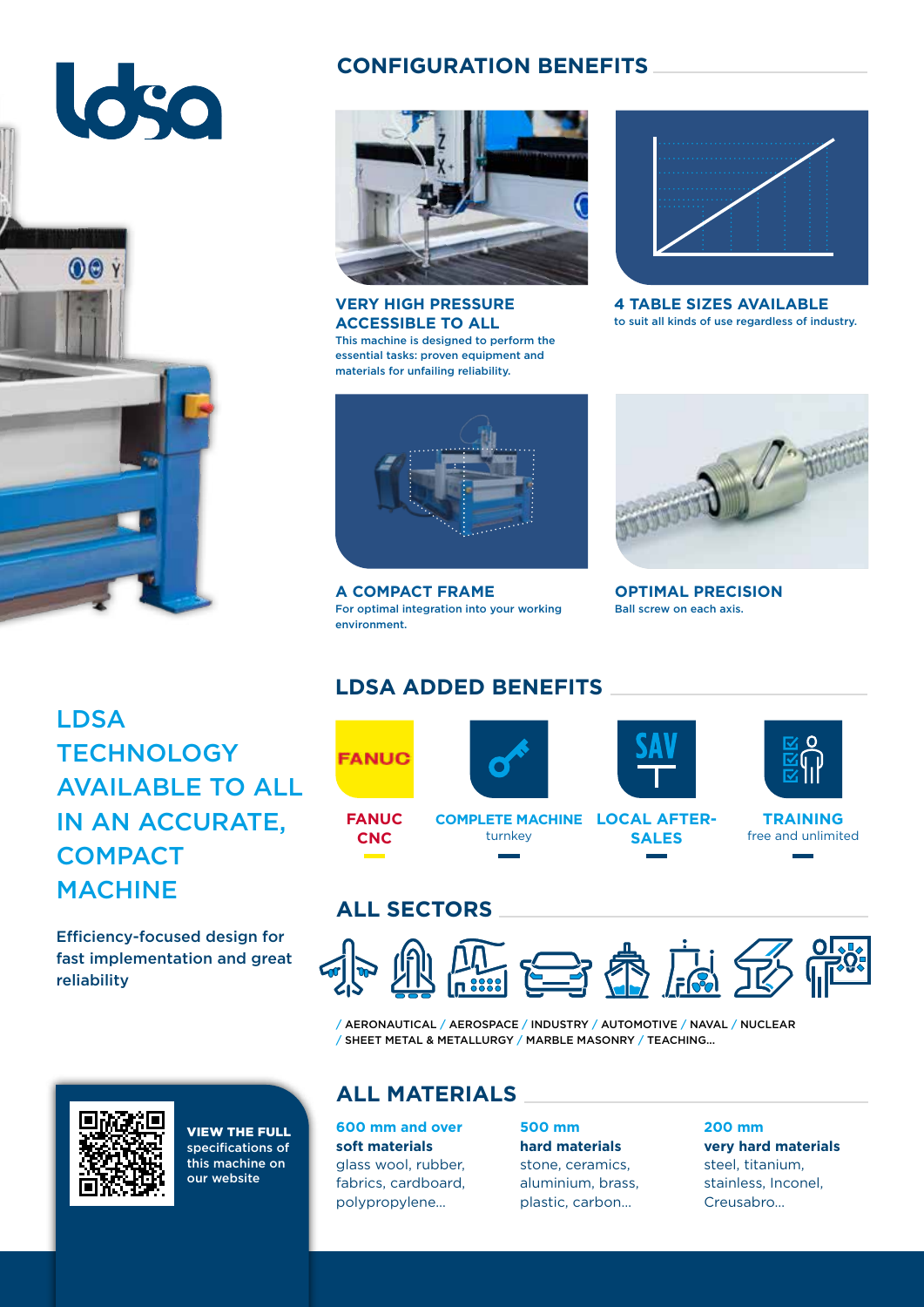# 630  $\odot$

# LDSA **TECHNOLOGY** AVAILABLE TO ALL IN AN ACCURATE, **COMPACT** MACHINE

Efficiency-focused design for fast implementation and great reliability



VIEW THE FULL specifications of this machine on our website

#### **CONFIGURATION BENEFITS**



**VERY HIGH PRESSURE ACCESSIBLE TO ALL** This machine is designed to perform the essential tasks: proven equipment and materials for unfailing reliability.



**A COMPACT FRAME** For optimal integration into your working environment.



**4 TABLE SIZES AVAILABLE** to suit all kinds of use regardless of industry.



**OPTIMAL PRECISION** Ball screw on each axis.

## **LDSA ADDED BENEFITS**



turnkey



**SALES**





**TRAINING** free and unlimited

## **ALL SECTORS**

**CNC**



/ AERONAUTICAL / AEROSPACE / INDUSTRY / AUTOMOTIVE / NAVAL / NUCLEAR / SHEET METAL & METALLURGY / MARBLE MASONRY / TEACHING...

#### **ALL MATERIALS**

**600 mm and over soft materials** glass wool, rubber, fabrics, cardboard, polypropylene…

**500 mm hard materials** stone, ceramics, aluminium, brass, plastic, carbon…

**200 mm very hard materials** steel, titanium, stainless, Inconel, Creusabro…